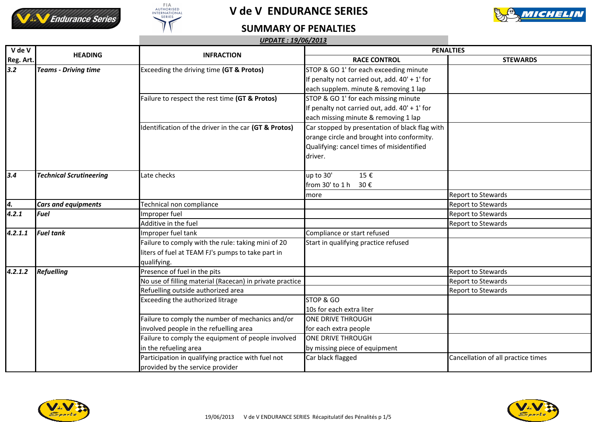





## **SUMMARY OF PENALTIES**

| $\overline{V}$ de $V$ | <b>HEADING</b>                 | <b>INFRACTION</b>                                        | <b>PENALTIES</b>                                |                                    |
|-----------------------|--------------------------------|----------------------------------------------------------|-------------------------------------------------|------------------------------------|
| Reg. Art.             |                                |                                                          | <b>RACE CONTROL</b>                             | <b>STEWARDS</b>                    |
| 3.2                   | <b>Teams - Driving time</b>    | Exceeding the driving time (GT & Protos)                 | STOP & GO 1' for each exceeding minute          |                                    |
|                       |                                |                                                          | If penalty not carried out, add. 40' + 1' for   |                                    |
|                       |                                |                                                          | each supplem. minute & removing 1 lap           |                                    |
|                       |                                | Failure to respect the rest time (GT & Protos)           | STOP & GO 1' for each missing minute            |                                    |
|                       |                                |                                                          | If penalty not carried out, add. $40' + 1'$ for |                                    |
|                       |                                |                                                          | each missing minute & removing 1 lap            |                                    |
|                       |                                | dentification of the driver in the car (GT & Protos)     | Car stopped by presentation of black flag with  |                                    |
|                       |                                |                                                          | orange circle and brought into conformity.      |                                    |
|                       |                                |                                                          | Qualifying: cancel times of misidentified       |                                    |
|                       |                                |                                                          | driver.                                         |                                    |
|                       |                                |                                                          |                                                 |                                    |
| 3.4                   | <b>Technical Scrutineering</b> | Late checks                                              | up to 30'<br>15€                                |                                    |
|                       |                                |                                                          | from 30' to 1 h<br>30€                          |                                    |
|                       |                                |                                                          | more                                            | <b>Report to Stewards</b>          |
| 4.                    | <b>Cars and equipments</b>     | Technical non compliance                                 |                                                 | <b>Report to Stewards</b>          |
| 4.2.1                 | Fuel                           | Improper fuel                                            |                                                 | Report to Stewards                 |
|                       |                                | Additive in the fuel                                     |                                                 | <b>Report to Stewards</b>          |
| 4.2.1.1               | <b>Fuel tank</b>               | Improper fuel tank                                       | Compliance or start refused                     |                                    |
|                       |                                | Failure to comply with the rule: taking mini of 20       | Start in qualifying practice refused            |                                    |
|                       |                                | liters of fuel at TEAM FJ's pumps to take part in        |                                                 |                                    |
|                       |                                | qualifying.                                              |                                                 |                                    |
| 4.2.1.2               | <b>Refuelling</b>              | Presence of fuel in the pits                             |                                                 | <b>Report to Stewards</b>          |
|                       |                                | No use of filling material (Racecan) in private practice |                                                 | <b>Report to Stewards</b>          |
|                       |                                | Refuelling outside authorized area                       |                                                 | <b>Report to Stewards</b>          |
|                       |                                | Exceeding the authorized litrage                         | STOP & GO                                       |                                    |
|                       |                                |                                                          | 10s for each extra liter                        |                                    |
|                       |                                | Failure to comply the number of mechanics and/or         | <b>ONE DRIVE THROUGH</b>                        |                                    |
|                       |                                | involved people in the refuelling area                   | for each extra people                           |                                    |
|                       |                                | Failure to comply the equipment of people involved       | <b>ONE DRIVE THROUGH</b>                        |                                    |
|                       |                                | in the refueling area                                    | by missing piece of equipment                   |                                    |
|                       |                                | Participation in qualifying practice with fuel not       | Car black flagged                               | Cancellation of all practice times |
|                       |                                | provided by the service provider                         |                                                 |                                    |



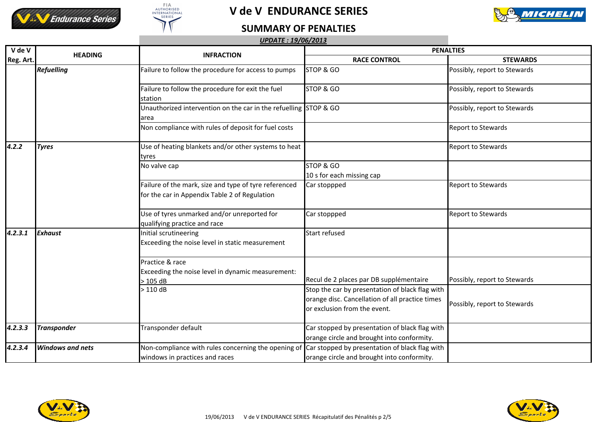





## **SUMMARY OF PENALTIES**

|           |                         | <b>UPDATE: 19/06/2013</b>                                                                              |                                                                                                                                    |                              |
|-----------|-------------------------|--------------------------------------------------------------------------------------------------------|------------------------------------------------------------------------------------------------------------------------------------|------------------------------|
| V de V    |                         |                                                                                                        | <b>PENALTIES</b>                                                                                                                   |                              |
| Reg. Art. | <b>HEADING</b>          | <b>INFRACTION</b>                                                                                      | <b>RACE CONTROL</b>                                                                                                                | <b>STEWARDS</b>              |
|           | <b>Refuelling</b>       | Failure to follow the procedure for access to pumps                                                    | STOP & GO                                                                                                                          | Possibly, report to Stewards |
|           |                         | Failure to follow the procedure for exit the fuel<br>station                                           | STOP & GO                                                                                                                          | Possibly, report to Stewards |
|           |                         | Unauthorized intervention on the car in the refuelling STOP & GO<br>area                               |                                                                                                                                    | Possibly, report to Stewards |
|           |                         | Non compliance with rules of deposit for fuel costs                                                    |                                                                                                                                    | <b>Report to Stewards</b>    |
| 4.2.2     | <b>Tyres</b>            | Use of heating blankets and/or other systems to heat<br>tyres                                          |                                                                                                                                    | <b>Report to Stewards</b>    |
|           |                         | No valve cap                                                                                           | STOP & GO<br>10 s for each missing cap                                                                                             |                              |
|           |                         | Failure of the mark, size and type of tyre referenced<br>for the car in Appendix Table 2 of Regulation | Car stoppped                                                                                                                       | <b>Report to Stewards</b>    |
|           |                         | Use of tyres unmarked and/or unreported for<br>qualifying practice and race                            | Car stoppped                                                                                                                       | Report to Stewards           |
| 4.2.3.1   | <b>Exhaust</b>          | Initial scrutineering<br>Exceeding the noise level in static measurement                               | Start refused                                                                                                                      |                              |
|           |                         | Practice & race<br>Exceeding the noise level in dynamic measurement:<br>$>105$ dB                      | Recul de 2 places par DB supplémentaire                                                                                            | Possibly, report to Stewards |
|           |                         | >110dB                                                                                                 | Stop the car by presentation of black flag with<br>orange disc. Cancellation of all practice times<br>or exclusion from the event. | Possibly, report to Stewards |
| 4.2.3.3   | <b>Transponder</b>      | Transponder default                                                                                    | Car stopped by presentation of black flag with<br>orange circle and brought into conformity.                                       |                              |
| 4.2.3.4   | <b>Windows and nets</b> | Non-compliance with rules concerning the opening of<br>windows in practices and races                  | Car stopped by presentation of black flag with<br>orange circle and brought into conformity.                                       |                              |



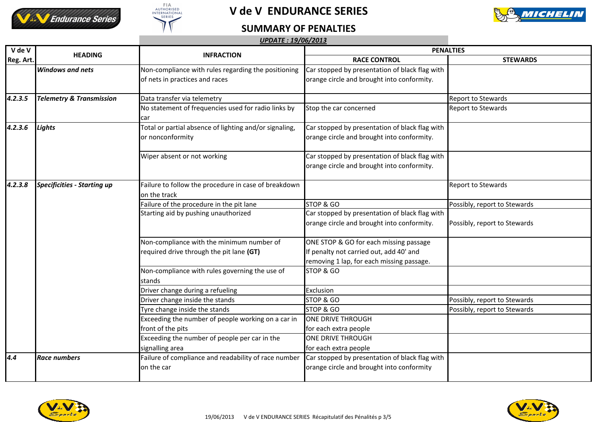





## **SUMMARY OF PENALTIES**

#### *UPDATE : 19/06/2013*

| V de V<br>Reg. Art. | <b>HEADING</b>                      | <b>INFRACTION</b>                                      | <b>PENALTIES</b>                               |                              |
|---------------------|-------------------------------------|--------------------------------------------------------|------------------------------------------------|------------------------------|
|                     |                                     |                                                        | <b>RACE CONTROL</b>                            | <b>STEWARDS</b>              |
|                     | <b>Windows and nets</b>             | Non-compliance with rules regarding the positioning    | Car stopped by presentation of black flag with |                              |
|                     |                                     | of nets in practices and races                         | orange circle and brought into conformity.     |                              |
|                     |                                     |                                                        |                                                |                              |
| 4.2.3.5             | <b>Telemetry &amp; Transmission</b> | Data transfer via telemetry                            |                                                | Report to Stewards           |
|                     |                                     | No statement of frequencies used for radio links by    | Stop the car concerned                         | <b>Report to Stewards</b>    |
|                     |                                     | car                                                    |                                                |                              |
| 4.2.3.6             | Lights                              | Total or partial absence of lighting and/or signaling, | Car stopped by presentation of black flag with |                              |
|                     |                                     | or nonconformity                                       | orange circle and brought into conformity.     |                              |
|                     |                                     | Wiper absent or not working                            | Car stopped by presentation of black flag with |                              |
|                     |                                     |                                                        | orange circle and brought into conformity.     |                              |
| 4.2.3.8             | <b>Specificities - Starting up</b>  | Failure to follow the procedure in case of breakdown   |                                                | Report to Stewards           |
|                     |                                     | on the track                                           |                                                |                              |
|                     |                                     | Failure of the procedure in the pit lane               | STOP & GO                                      | Possibly, report to Stewards |
|                     |                                     | Starting aid by pushing unauthorized                   | Car stopped by presentation of black flag with |                              |
|                     |                                     |                                                        | orange circle and brought into conformity.     | Possibly, report to Stewards |
|                     |                                     | Non-compliance with the minimum number of              | ONE STOP & GO for each missing passage         |                              |
|                     |                                     | required drive through the pit lane (GT)               | If penalty not carried out, add 40' and        |                              |
|                     |                                     |                                                        | removing 1 lap, for each missing passage.      |                              |
|                     |                                     | Non-compliance with rules governing the use of         | STOP & GO                                      |                              |
|                     |                                     | stands                                                 |                                                |                              |
|                     |                                     | Driver change during a refueling                       | Exclusion                                      |                              |
|                     |                                     | Driver change inside the stands                        | STOP & GO                                      | Possibly, report to Stewards |
|                     |                                     | Tyre change inside the stands                          | STOP & GO                                      | Possibly, report to Stewards |
|                     |                                     | Exceeding the number of people working on a car in     | <b>ONE DRIVE THROUGH</b>                       |                              |
|                     |                                     | front of the pits                                      | for each extra people                          |                              |
|                     |                                     | Exceeding the number of people per car in the          | <b>ONE DRIVE THROUGH</b>                       |                              |
|                     |                                     | signalling area                                        | for each extra people                          |                              |
| 4.4                 | <b>Race numbers</b>                 | Failure of compliance and readability of race number   | Car stopped by presentation of black flag with |                              |
|                     |                                     | on the car                                             | orange circle and brought into conformity      |                              |
|                     |                                     |                                                        |                                                |                              |

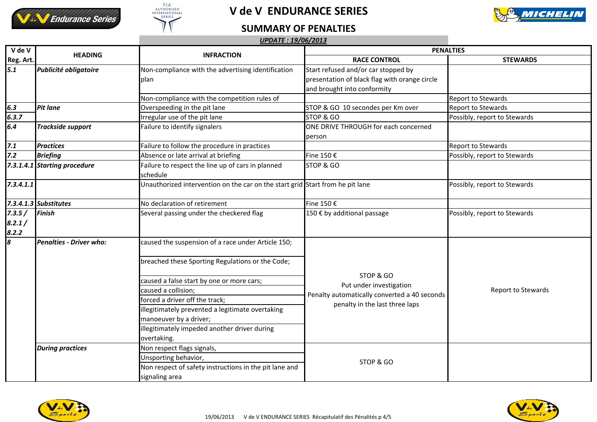





## **SUMMARY OF PENALTIES**

#### *UPDATE : 19/06/2013*

| $\overline{V}$ de V<br>Reg. Art. | <b>HEADING</b>               | <b>INFRACTION</b>                                                             | <b>PENALTIES</b>                                                                                                       |                              |
|----------------------------------|------------------------------|-------------------------------------------------------------------------------|------------------------------------------------------------------------------------------------------------------------|------------------------------|
|                                  |                              |                                                                               | <b>RACE CONTROL</b>                                                                                                    | <b>STEWARDS</b>              |
| 5.1                              | Publicité obligatoire        | Non-compliance with the advertising identification                            | Start refused and/or car stopped by                                                                                    |                              |
|                                  |                              | plan                                                                          | presentation of black flag with orange circle                                                                          |                              |
|                                  |                              |                                                                               | and brought into conformity                                                                                            |                              |
|                                  |                              | Non-compliance with the competition rules of                                  |                                                                                                                        | <b>Report to Stewards</b>    |
| 6.3                              | <b>Pit lane</b>              | Overspeeding in the pit lane                                                  | STOP & GO 10 secondes per Km over                                                                                      | <b>Report to Stewards</b>    |
| 6.3.7                            |                              | Irregular use of the pit lane                                                 | STOP & GO                                                                                                              | Possibly, report to Stewards |
| 6.4                              | <b>Trackside support</b>     | Failure to identify signalers                                                 | ONE DRIVE THROUGH for each concerned                                                                                   |                              |
|                                  |                              |                                                                               | person                                                                                                                 |                              |
| 7.1                              | <b>Practices</b>             | Failure to follow the procedure in practices                                  |                                                                                                                        | <b>Report to Stewards</b>    |
| Z.2                              | <b>Briefing</b>              | Absence or late arrival at briefing                                           | Fine 150 €                                                                                                             | Possibly, report to Stewards |
|                                  | 7.3.1.4.1 Starting procedure | Failure to respect the line up of cars in planned<br>schedule                 | STOP & GO                                                                                                              |                              |
| 7.3.4.1.1                        |                              | Unauthorized intervention on the car on the start grid Start from he pit lane |                                                                                                                        | Possibly, report to Stewards |
|                                  | 7.3.4.1.3 Substitutes        | No declaration of retirement                                                  | Fine 150 €                                                                                                             |                              |
| 7.3.5/                           | Finish                       | Several passing under the checkered flag                                      | 150 € by additional passage                                                                                            | Possibly, report to Stewards |
| 8.2.1/<br>8.2.2                  |                              |                                                                               |                                                                                                                        |                              |
| $\boldsymbol{s}$                 | Penalties - Driver who:      | caused the suspension of a race under Article 150;                            | STOP & GO<br>Put under investigation<br>Penalty automatically converted a 40 seconds<br>penalty in the last three laps | Report to Stewards           |
|                                  |                              | breached these Sporting Regulations or the Code;                              |                                                                                                                        |                              |
|                                  |                              | caused a false start by one or more cars;                                     |                                                                                                                        |                              |
|                                  |                              | caused a collision;                                                           |                                                                                                                        |                              |
|                                  |                              | forced a driver off the track;                                                |                                                                                                                        |                              |
|                                  |                              | illegitimately prevented a legitimate overtaking                              |                                                                                                                        |                              |
|                                  |                              | manoeuver by a driver;                                                        |                                                                                                                        |                              |
|                                  |                              | illegitimately impeded another driver during                                  |                                                                                                                        |                              |
|                                  |                              | overtaking.                                                                   |                                                                                                                        |                              |
|                                  | <b>During practices</b>      | Non respect flags signals,                                                    | STOP & GO                                                                                                              |                              |
|                                  |                              | Unsporting behavior,                                                          |                                                                                                                        |                              |
|                                  |                              | Non respect of safety instructions in the pit lane and                        |                                                                                                                        |                              |
|                                  |                              | signaling area                                                                |                                                                                                                        |                              |